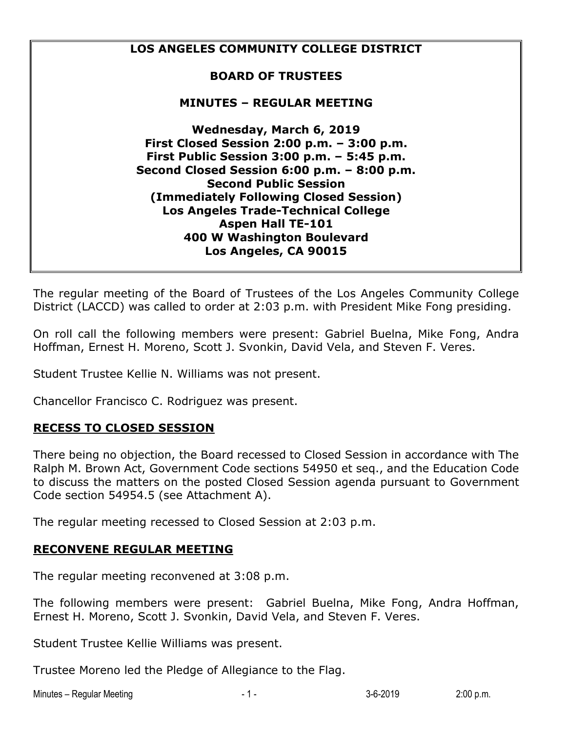

The regular meeting of the Board of Trustees of the Los Angeles Community College District (LACCD) was called to order at 2:03 p.m. with President Mike Fong presiding.

On roll call the following members were present: Gabriel Buelna, Mike Fong, Andra Hoffman, Ernest H. Moreno, Scott J. Svonkin, David Vela, and Steven F. Veres.

Student Trustee Kellie N. Williams was not present.

Chancellor Francisco C. Rodriguez was present.

#### **RECESS TO CLOSED SESSION**

There being no objection, the Board recessed to Closed Session in accordance with The Ralph M. Brown Act, Government Code sections 54950 et seq., and the Education Code to discuss the matters on the posted Closed Session agenda pursuant to Government Code section 54954.5 (see Attachment A).

The regular meeting recessed to Closed Session at 2:03 p.m.

#### **RECONVENE REGULAR MEETING**

The regular meeting reconvened at 3:08 p.m.

The following members were present: Gabriel Buelna, Mike Fong, Andra Hoffman, Ernest H. Moreno, Scott J. Svonkin, David Vela, and Steven F. Veres.

Student Trustee Kellie Williams was present.

Trustee Moreno led the Pledge of Allegiance to the Flag.

Minutes – Regular Meeting and the state of the state of the state of the state of the state of the state of the state of the state of the state of the state of the state of the state of the state of the state of the state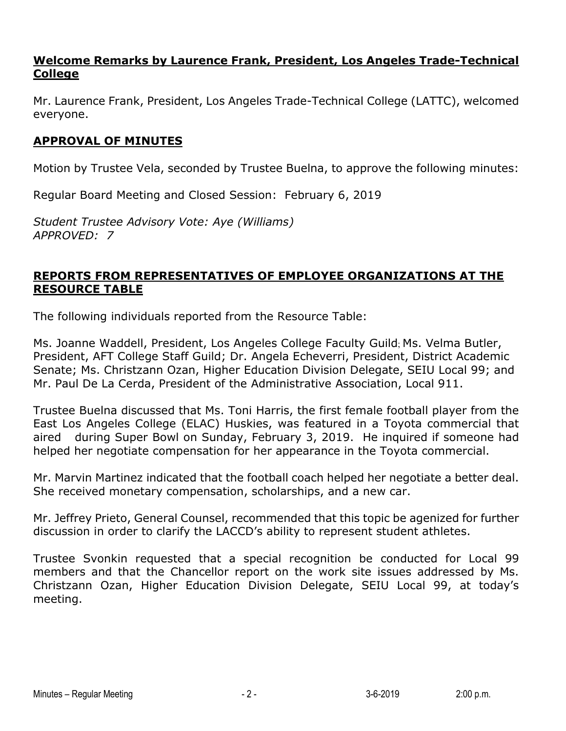## **Welcome Remarks by Laurence Frank, President, Los Angeles Trade-Technical College**

Mr. Laurence Frank, President, Los Angeles Trade-Technical College (LATTC), welcomed everyone.

## **APPROVAL OF MINUTES**

Motion by Trustee Vela, seconded by Trustee Buelna, to approve the following minutes:

Regular Board Meeting and Closed Session: February 6, 2019

*Student Trustee Advisory Vote: Aye (Williams) APPROVED: 7*

## **REPORTS FROM REPRESENTATIVES OF EMPLOYEE ORGANIZATIONS AT THE RESOURCE TABLE**

The following individuals reported from the Resource Table:

Ms. Joanne Waddell, President, Los Angeles College Faculty Guild; Ms. Velma Butler, President, AFT College Staff Guild; Dr. Angela Echeverri, President, District Academic Senate; Ms. Christzann Ozan, Higher Education Division Delegate, SEIU Local 99; and Mr. Paul De La Cerda, President of the Administrative Association, Local 911.

Trustee Buelna discussed that Ms. Toni Harris, the first female football player from the East Los Angeles College (ELAC) Huskies, was featured in a Toyota commercial that aired during Super Bowl on Sunday, February 3, 2019. He inquired if someone had helped her negotiate compensation for her appearance in the Toyota commercial.

Mr. Marvin Martinez indicated that the football coach helped her negotiate a better deal. She received monetary compensation, scholarships, and a new car.

Mr. Jeffrey Prieto, General Counsel, recommended that this topic be agenized for further discussion in order to clarify the LACCD's ability to represent student athletes.

Trustee Svonkin requested that a special recognition be conducted for Local 99 members and that the Chancellor report on the work site issues addressed by Ms. Christzann Ozan, Higher Education Division Delegate, SEIU Local 99, at today's meeting.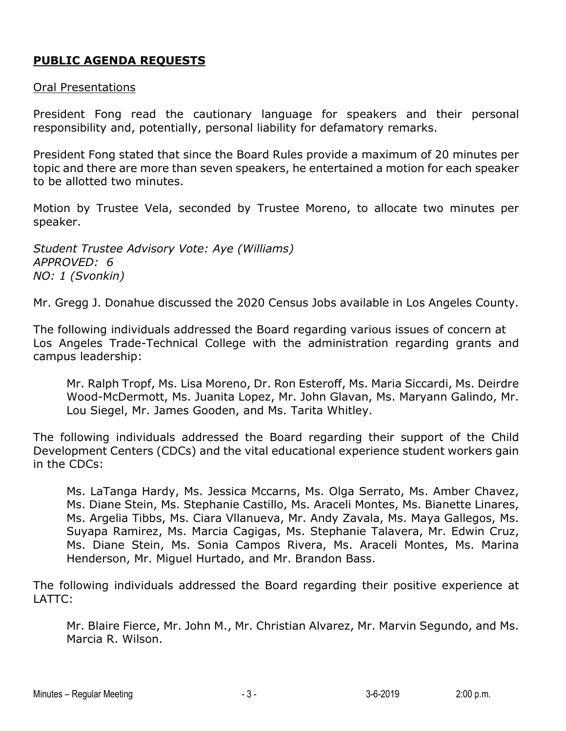# **PUBLIC AGENDA REQUESTS**

#### Oral Presentations

President Fong read the cautionary language for speakers and their personal responsibility and, potentially, personal liability for defamatory remarks.

President Fong stated that since the Board Rules provide a maximum of 20 minutes per topic and there are more than seven speakers, he entertained a motion for each speaker to be allotted two minutes.

Motion by Trustee Vela, seconded by Trustee Moreno, to allocate two minutes per speaker.

*Student Trustee Advisory Vote: Aye (Williams) APPROVED: 6 NO: 1 (Svonkin)*

Mr. Gregg J. Donahue discussed the 2020 Census Jobs available in Los Angeles County.

The following individuals addressed the Board regarding various issues of concern at Los Angeles Trade-Technical College with the administration regarding grants and campus leadership:

Mr. Ralph Tropf, Ms. Lisa Moreno, Dr. Ron Esteroff, Ms. Maria Siccardi, Ms. Deirdre Wood-McDermott, Ms. Juanita Lopez, Mr. John Glavan, Ms. Maryann Galindo, Mr. Lou Siegel, Mr. James Gooden, and Ms. Tarita Whitley.

The following individuals addressed the Board regarding their support of the Child Development Centers (CDCs) and the vital educational experience student workers gain in the CDCs:

Ms. LaTanga Hardy, Ms. Jessica Mccarns, Ms. Olga Serrato, Ms. Amber Chavez, Ms. Diane Stein, Ms. Stephanie Castillo, Ms. Araceli Montes, Ms. Bianette Linares, Ms. Argelia Tibbs, Ms. Ciara Vllanueva, Mr. Andy Zavala, Ms. Maya Gallegos, Ms. Suyapa Ramirez, Ms. Marcia Cagigas, Ms. Stephanie Talavera, Mr. Edwin Cruz, Ms. Diane Stein, Ms. Sonia Campos Rivera, Ms. Araceli Montes, Ms. Marina Henderson, Mr. Miguel Hurtado, and Mr. Brandon Bass.

The following individuals addressed the Board regarding their positive experience at LATTC:

Mr. Blaire Fierce, Mr. John M., Mr. Christian Alvarez, Mr. Marvin Segundo, and Ms. Marcia R. Wilson.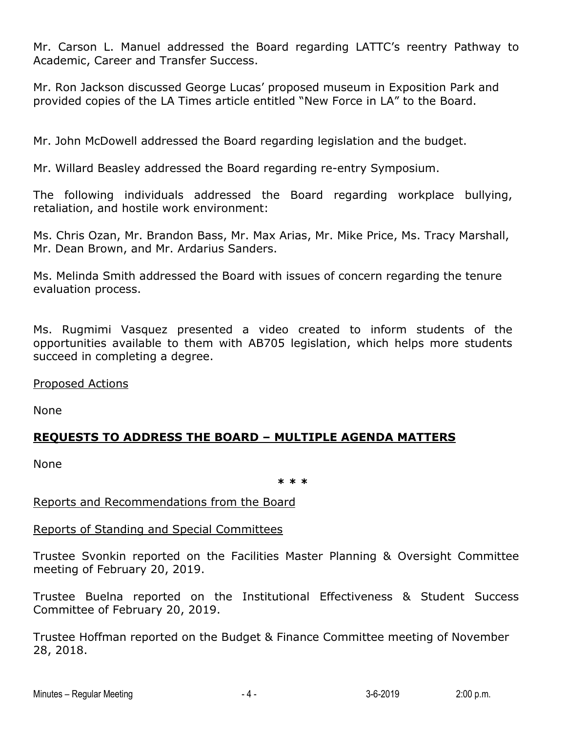Mr. Carson L. Manuel addressed the Board regarding LATTC's reentry Pathway to Academic, Career and Transfer Success.

Mr. Ron Jackson discussed George Lucas' proposed museum in Exposition Park and provided copies of the LA Times article entitled "New Force in LA" to the Board.

Mr. John McDowell addressed the Board regarding legislation and the budget.

Mr. Willard Beasley addressed the Board regarding re-entry Symposium.

The following individuals addressed the Board regarding workplace bullying, retaliation, and hostile work environment:

Ms. Chris Ozan, Mr. Brandon Bass, Mr. Max Arias, Mr. Mike Price, Ms. Tracy Marshall, Mr. Dean Brown, and Mr. Ardarius Sanders.

Ms. Melinda Smith addressed the Board with issues of concern regarding the tenure evaluation process.

Ms. Rugmimi Vasquez presented a video created to inform students of the opportunities available to them with AB705 legislation, which helps more students succeed in completing a degree.

Proposed Actions

None

# **REQUESTS TO ADDRESS THE BOARD – MULTIPLE AGENDA MATTERS**

None

**\* \* \***

Reports and Recommendations from the Board

#### Reports of Standing and Special Committees

Trustee Svonkin reported on the Facilities Master Planning & Oversight Committee meeting of February 20, 2019.

Trustee Buelna reported on the Institutional Effectiveness & Student Success Committee of February 20, 2019.

Trustee Hoffman reported on the Budget & Finance Committee meeting of November 28, 2018.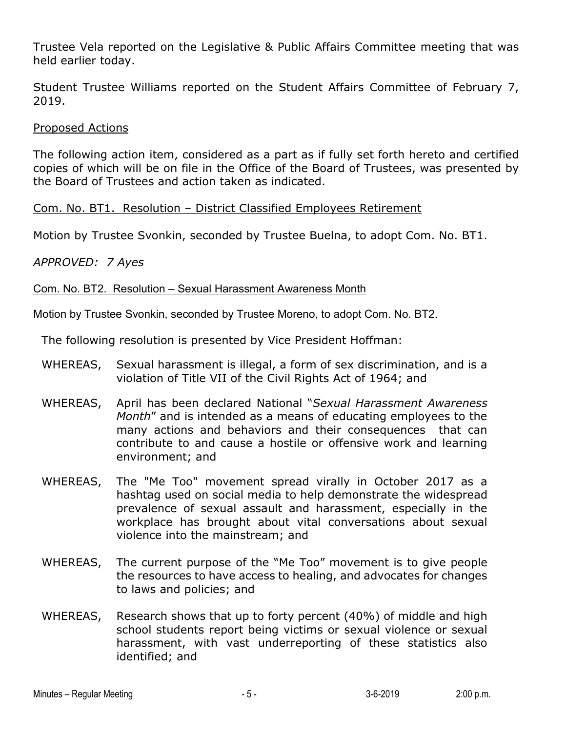Trustee Vela reported on the Legislative & Public Affairs Committee meeting that was held earlier today.

Student Trustee Williams reported on the Student Affairs Committee of February 7, 2019.

#### Proposed Actions

The following action item, considered as a part as if fully set forth hereto and certified copies of which will be on file in the Office of the Board of Trustees, was presented by the Board of Trustees and action taken as indicated.

#### Com. No. BT1. Resolution – District Classified Employees Retirement

Motion by Trustee Svonkin, seconded by Trustee Buelna, to adopt Com. No. BT1.

#### *APPROVED: 7 Ayes*

#### Com. No. BT2. Resolution – Sexual Harassment Awareness Month

Motion by Trustee Svonkin, seconded by Trustee Moreno, to adopt Com. No. BT2.

The following resolution is presented by Vice President Hoffman:

- WHEREAS, Sexual harassment is illegal, a form of sex discrimination, and is a violation of Title VII of the Civil Rights Act of 1964; and
- WHEREAS, April has been declared National "*Sexual Harassment Awareness Month*" and is intended as a means of educating employees to the many actions and behaviors and their consequences that can contribute to and cause a hostile or offensive work and learning environment; and
- WHEREAS, The "Me Too" movement spread virally in October 2017 as a hashtag used on social media to help demonstrate the widespread prevalence of sexual assault and harassment, especially in the workplace has brought about vital conversations about sexual violence into the mainstream; and
- WHEREAS, The current purpose of the "Me Too" movement is to give people the resources to have access to healing, and advocates for changes to laws and policies; and
- WHEREAS, Research shows that up to forty percent (40%) of middle and high school students report being victims or sexual violence or sexual harassment, with vast underreporting of these statistics also identified; and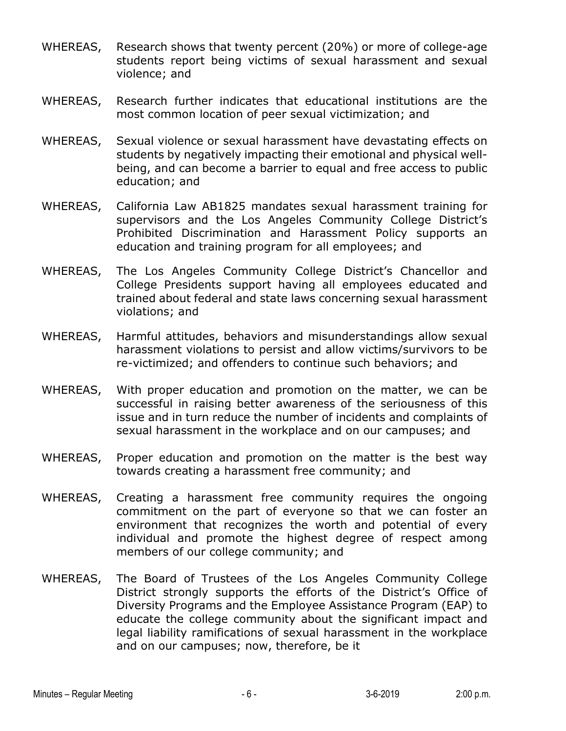- WHEREAS, Research shows that twenty percent (20%) or more of college-age students report being victims of sexual harassment and sexual violence; and
- WHEREAS, Research further indicates that educational institutions are the most common location of peer sexual victimization; and
- WHEREAS, Sexual violence or sexual harassment have devastating effects on students by negatively impacting their emotional and physical wellbeing, and can become a barrier to equal and free access to public education; and
- WHEREAS, California Law AB1825 mandates sexual harassment training for supervisors and the Los Angeles Community College District's Prohibited Discrimination and Harassment Policy supports an education and training program for all employees; and
- WHEREAS, The Los Angeles Community College District's Chancellor and College Presidents support having all employees educated and trained about federal and state laws concerning sexual harassment violations; and
- WHEREAS, Harmful attitudes, behaviors and misunderstandings allow sexual harassment violations to persist and allow victims/survivors to be re-victimized; and offenders to continue such behaviors; and
- WHEREAS, With proper education and promotion on the matter, we can be successful in raising better awareness of the seriousness of this issue and in turn reduce the number of incidents and complaints of sexual harassment in the workplace and on our campuses; and
- WHEREAS, Proper education and promotion on the matter is the best way towards creating a harassment free community; and
- WHEREAS, Creating a harassment free community requires the ongoing commitment on the part of everyone so that we can foster an environment that recognizes the worth and potential of every individual and promote the highest degree of respect among members of our college community; and
- WHEREAS, The Board of Trustees of the Los Angeles Community College District strongly supports the efforts of the District's Office of Diversity Programs and the Employee Assistance Program (EAP) to educate the college community about the significant impact and legal liability ramifications of sexual harassment in the workplace and on our campuses; now, therefore, be it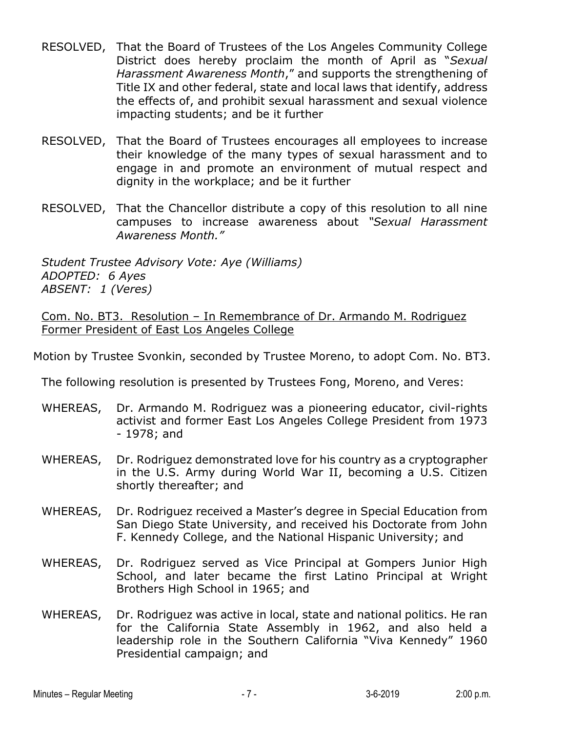- RESOLVED, That the Board of Trustees of the Los Angeles Community College District does hereby proclaim the month of April as "*Sexual Harassment Awareness Month*," and supports the strengthening of Title IX and other federal, state and local laws that identify, address the effects of, and prohibit sexual harassment and sexual violence impacting students; and be it further
- RESOLVED, That the Board of Trustees encourages all employees to increase their knowledge of the many types of sexual harassment and to engage in and promote an environment of mutual respect and dignity in the workplace; and be it further
- RESOLVED, That the Chancellor distribute a copy of this resolution to all nine campuses to increase awareness about *"Sexual Harassment Awareness Month."*

*Student Trustee Advisory Vote: Aye (Williams) ADOPTED: 6 Ayes ABSENT: 1 (Veres)*

Com. No. BT3. Resolution – In Remembrance of Dr. Armando M. Rodriguez Former President of East Los Angeles College

Motion by Trustee Svonkin, seconded by Trustee Moreno, to adopt Com. No. BT3.

The following resolution is presented by Trustees Fong, Moreno, and Veres:

- WHEREAS, Dr. Armando M. Rodriguez was a pioneering educator, civil-rights activist and former East Los Angeles College President from 1973 - 1978; and
- WHEREAS, Dr. Rodriguez demonstrated love for his country as a cryptographer in the U.S. Army during World War II, becoming a U.S. Citizen shortly thereafter; and
- WHEREAS, Dr. Rodriguez received a Master's degree in Special Education from San Diego State University, and received his Doctorate from John F. Kennedy College, and the National Hispanic University; and
- WHEREAS, Dr. Rodriguez served as Vice Principal at Gompers Junior High School, and later became the first Latino Principal at Wright Brothers High School in 1965; and
- WHEREAS, Dr. Rodriguez was active in local, state and national politics. He ran for the California State Assembly in 1962, and also held a leadership role in the Southern California "Viva Kennedy" 1960 Presidential campaign; and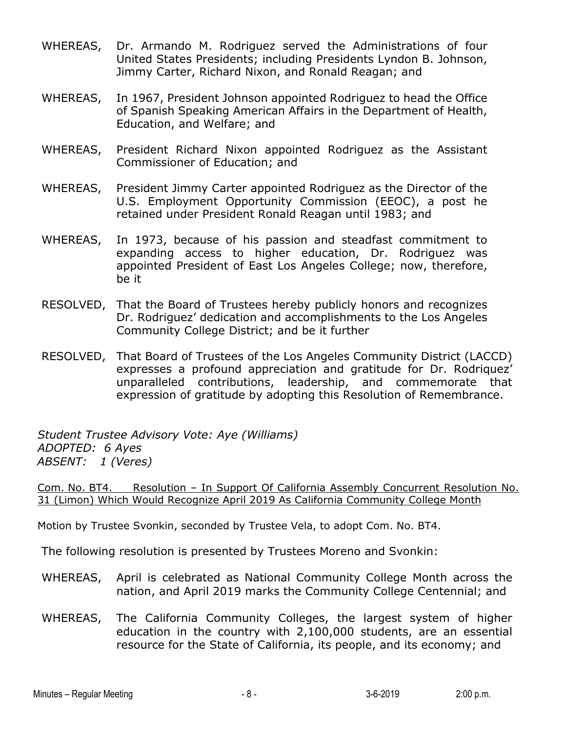- WHEREAS, Dr. Armando M. Rodriguez served the Administrations of four United States Presidents; including Presidents Lyndon B. Johnson, Jimmy Carter, Richard Nixon, and Ronald Reagan; and
- WHEREAS, In 1967, President Johnson appointed Rodriguez to head the Office of Spanish Speaking American Affairs in the Department of Health, Education, and Welfare; and
- WHEREAS, President Richard Nixon appointed Rodriguez as the Assistant Commissioner of Education; and
- WHEREAS, President Jimmy Carter appointed Rodriguez as the Director of the U.S. Employment Opportunity Commission (EEOC), a post he retained under President Ronald Reagan until 1983; and
- WHEREAS, In 1973, because of his passion and steadfast commitment to expanding access to higher education, Dr. Rodriguez was appointed President of East Los Angeles College; now, therefore, be it
- RESOLVED, That the Board of Trustees hereby publicly honors and recognizes Dr. Rodriguez' dedication and accomplishments to the Los Angeles Community College District; and be it further
- RESOLVED, That Board of Trustees of the Los Angeles Community District (LACCD) expresses a profound appreciation and gratitude for Dr. Rodriquez' unparalleled contributions, leadership, and commemorate that expression of gratitude by adopting this Resolution of Remembrance.

*Student Trustee Advisory Vote: Aye (Williams) ADOPTED: 6 Ayes ABSENT: 1 (Veres)*

Com. No. BT4. Resolution – In Support Of California Assembly Concurrent Resolution No. 31 (Limon) Which Would Recognize April 2019 As California Community College Month

Motion by Trustee Svonkin, seconded by Trustee Vela, to adopt Com. No. BT4.

The following resolution is presented by Trustees Moreno and Svonkin:

- WHEREAS, April is celebrated as National Community College Month across the nation, and April 2019 marks the Community College Centennial; and
- WHEREAS, The California Community Colleges, the largest system of higher education in the country with 2,100,000 students, are an essential resource for the State of California, its people, and its economy; and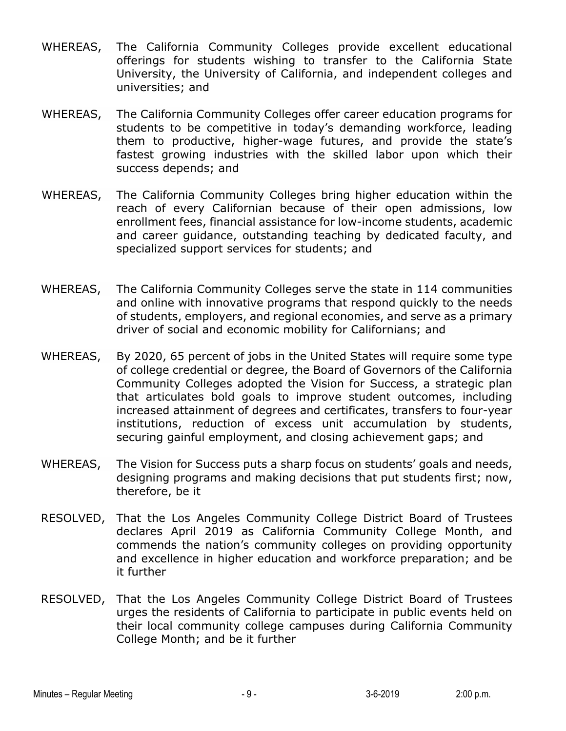- WHEREAS, The California Community Colleges provide excellent educational offerings for students wishing to transfer to the California State University, the University of California, and independent colleges and universities; and
- WHEREAS, The California Community Colleges offer career education programs for students to be competitive in today's demanding workforce, leading them to productive, higher-wage futures, and provide the state's fastest growing industries with the skilled labor upon which their success depends; and
- WHEREAS, The California Community Colleges bring higher education within the reach of every Californian because of their open admissions, low enrollment fees, financial assistance for low-income students, academic and career guidance, outstanding teaching by dedicated faculty, and specialized support services for students; and
- WHEREAS, The California Community Colleges serve the state in 114 communities and online with innovative programs that respond quickly to the needs of students, employers, and regional economies, and serve as a primary driver of social and economic mobility for Californians; and
- WHEREAS, By 2020, 65 percent of jobs in the United States will require some type of college credential or degree, the Board of Governors of the California Community Colleges adopted the Vision for Success, a strategic plan that articulates bold goals to improve student outcomes, including increased attainment of degrees and certificates, transfers to four-year institutions, reduction of excess unit accumulation by students, securing gainful employment, and closing achievement gaps; and
- WHEREAS, The Vision for Success puts a sharp focus on students' goals and needs, designing programs and making decisions that put students first; now, therefore, be it
- RESOLVED, That the Los Angeles Community College District Board of Trustees declares April 2019 as California Community College Month, and commends the nation's community colleges on providing opportunity and excellence in higher education and workforce preparation; and be it further
- RESOLVED, That the Los Angeles Community College District Board of Trustees urges the residents of California to participate in public events held on their local community college campuses during California Community College Month; and be it further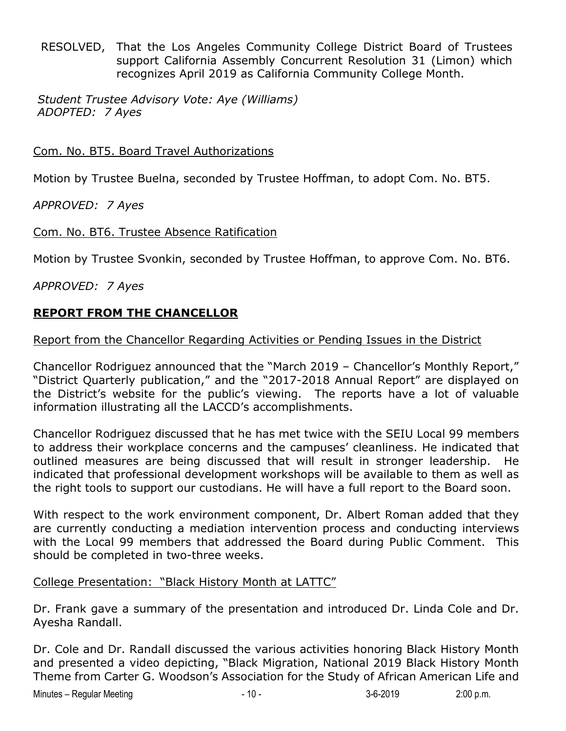RESOLVED, That the Los Angeles Community College District Board of Trustees support California Assembly Concurrent Resolution 31 (Limon) which recognizes April 2019 as California Community College Month.

*Student Trustee Advisory Vote: Aye (Williams) ADOPTED: 7 Ayes*

Com. No. BT5. Board Travel Authorizations

Motion by Trustee Buelna, seconded by Trustee Hoffman, to adopt Com. No. BT5.

*APPROVED: 7 Ayes*

Com. No. BT6. Trustee Absence Ratification

Motion by Trustee Svonkin, seconded by Trustee Hoffman, to approve Com. No. BT6.

*APPROVED: 7 Ayes*

### **REPORT FROM THE CHANCELLOR**

#### Report from the Chancellor Regarding Activities or Pending Issues in the District

Chancellor Rodriguez announced that the "March 2019 – Chancellor's Monthly Report," "District Quarterly publication," and the "2017-2018 Annual Report" are displayed on the District's website for the public's viewing. The reports have a lot of valuable information illustrating all the LACCD's accomplishments.

Chancellor Rodriguez discussed that he has met twice with the SEIU Local 99 members to address their workplace concerns and the campuses' cleanliness. He indicated that outlined measures are being discussed that will result in stronger leadership. He indicated that professional development workshops will be available to them as well as the right tools to support our custodians. He will have a full report to the Board soon.

With respect to the work environment component, Dr. Albert Roman added that they are currently conducting a mediation intervention process and conducting interviews with the Local 99 members that addressed the Board during Public Comment. This should be completed in two-three weeks.

#### College Presentation: "Black History Month at LATTC"

Dr. Frank gave a summary of the presentation and introduced Dr. Linda Cole and Dr. Ayesha Randall.

Dr. Cole and Dr. Randall discussed the various activities honoring Black History Month and presented a video depicting, "Black Migration, National 2019 Black History Month Theme from Carter G. Woodson's Association for the Study of African American Life and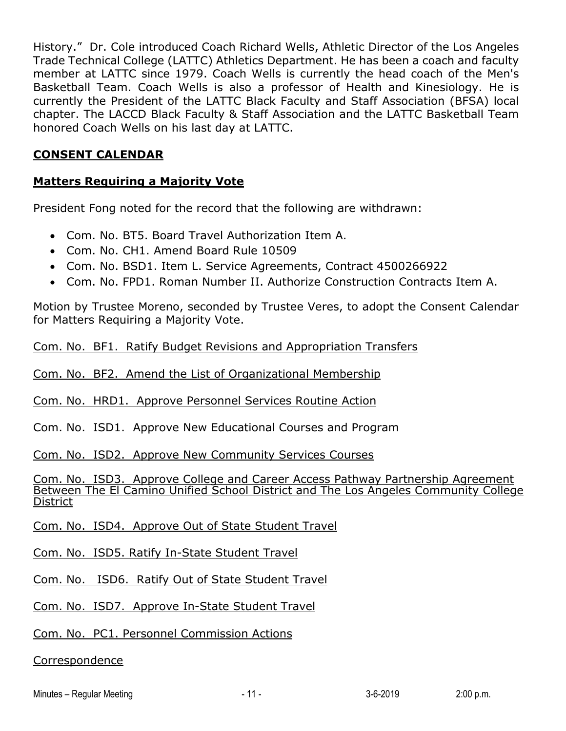History." Dr. Cole introduced Coach Richard Wells, Athletic Director of the Los Angeles Trade Technical College (LATTC) Athletics Department. He has been a coach and faculty member at LATTC since 1979. Coach Wells is currently the head coach of the Men's Basketball Team. Coach Wells is also a professor of Health and Kinesiology. He is currently the President of the LATTC Black Faculty and Staff Association (BFSA) local chapter. The LACCD Black Faculty & Staff Association and the LATTC Basketball Team honored Coach Wells on his last day at LATTC.

#### **CONSENT CALENDAR**

### **Matters Requiring a Majority Vote**

President Fong noted for the record that the following are withdrawn:

- Com. No. BT5. Board Travel Authorization Item A.
- Com. No. CH1. Amend Board Rule 10509
- Com. No. BSD1. Item L. Service Agreements, Contract 4500266922
- Com. No. FPD1. Roman Number II. Authorize Construction Contracts Item A.

Motion by Trustee Moreno, seconded by Trustee Veres, to adopt the Consent Calendar for Matters Requiring a Majority Vote.

Com. No. BF1. Ratify Budget Revisions and Appropriation Transfers

Com. No. BF2. Amend the List of Organizational Membership

Com. No. HRD1. Approve Personnel Services Routine Action

Com. No. ISD1. Approve New Educational Courses and Program

Com. No. ISD2. Approve New Community Services Courses

Com. No. ISD3. Approve College and Career Access Pathway Partnership Agreement Between The El Camino Unified School District and The Los Angeles Community College **District** 

Com. No. ISD4. Approve Out of State Student Travel

Com. No. ISD5. Ratify In-State Student Travel

Com. No. ISD6. Ratify Out of State Student Travel

Com. No. ISD7. Approve In-State Student Travel

Com. No. PC1. Personnel Commission Actions

Correspondence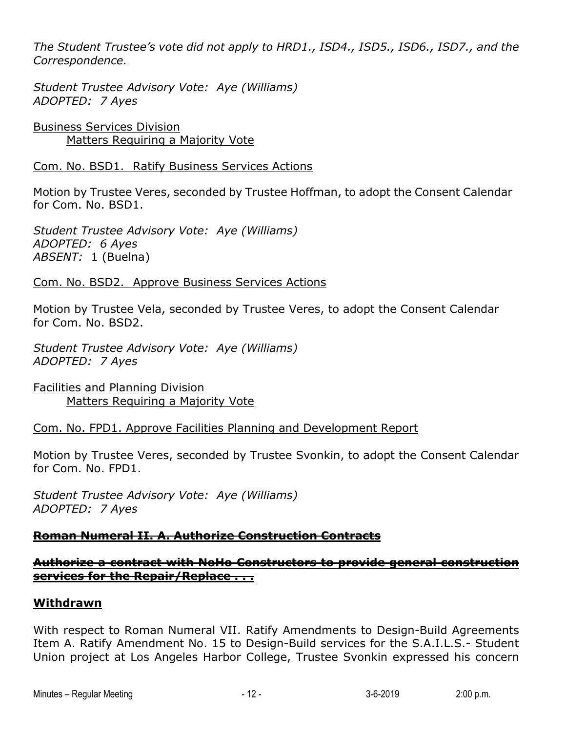*The Student Trustee's vote did not apply to HRD1., ISD4., ISD5., ISD6., ISD7., and the Correspondence.*

*Student Trustee Advisory Vote: Aye (Williams) ADOPTED: 7 Ayes*

Business Services Division Matters Requiring a Majority Vote

Com. No. BSD1. Ratify Business Services Actions

Motion by Trustee Veres, seconded by Trustee Hoffman, to adopt the Consent Calendar for Com. No. BSD1.

*Student Trustee Advisory Vote: Aye (Williams) ADOPTED: 6 Ayes ABSENT:* 1 (Buelna)

Com. No. BSD2. Approve Business Services Actions

Motion by Trustee Vela, seconded by Trustee Veres, to adopt the Consent Calendar for Com. No. BSD2.

*Student Trustee Advisory Vote: Aye (Williams) ADOPTED: 7 Ayes*

Facilities and Planning Division Matters Requiring a Majority Vote

Com. No. FPD1. Approve Facilities Planning and Development Report

Motion by Trustee Veres, seconded by Trustee Svonkin, to adopt the Consent Calendar for Com. No. FPD1.

*Student Trustee Advisory Vote: Aye (Williams) ADOPTED: 7 Ayes*

# **Roman Numeral II. A. Authorize Construction Contracts**

### **Authorize a contract with NoHo Constructors to provide general construction services for the Repair/Replace . . .**

#### **Withdrawn**

With respect to Roman Numeral VII. Ratify Amendments to Design-Build Agreements Item A. Ratify Amendment No. 15 to Design-Build services for the S.A.I.L.S.- Student Union project at Los Angeles Harbor College, Trustee Svonkin expressed his concern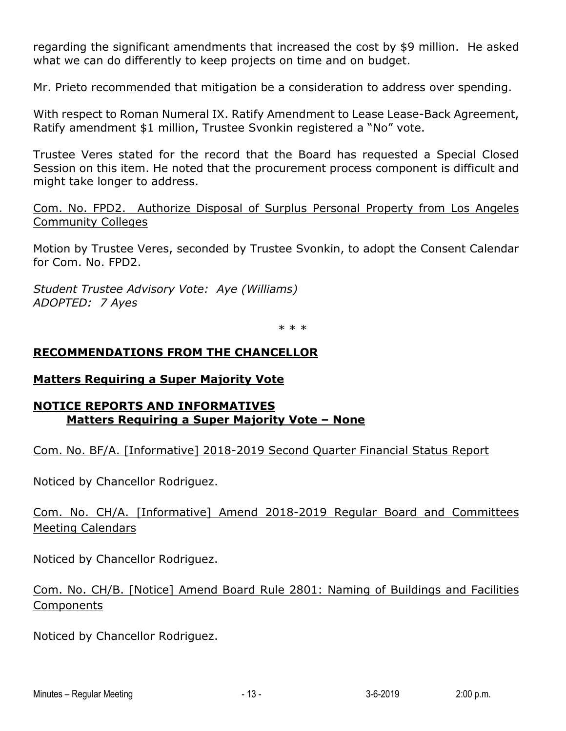regarding the significant amendments that increased the cost by \$9 million. He asked what we can do differently to keep projects on time and on budget.

Mr. Prieto recommended that mitigation be a consideration to address over spending.

With respect to Roman Numeral IX. Ratify Amendment to Lease Lease-Back Agreement, Ratify amendment \$1 million, Trustee Svonkin registered a "No" vote.

Trustee Veres stated for the record that the Board has requested a Special Closed Session on this item. He noted that the procurement process component is difficult and might take longer to address.

Com. No. FPD2. Authorize Disposal of Surplus Personal Property from Los Angeles Community Colleges

Motion by Trustee Veres, seconded by Trustee Svonkin, to adopt the Consent Calendar for Com. No. FPD2.

*Student Trustee Advisory Vote: Aye (Williams) ADOPTED: 7 Ayes*

\* \* \*

### **RECOMMENDATIONS FROM THE CHANCELLOR**

#### **Matters Requiring a Super Majority Vote**

### **NOTICE REPORTS AND INFORMATIVES Matters Requiring a Super Majority Vote – None**

Com. No. BF/A. [Informative] 2018-2019 Second Quarter Financial Status Report

Noticed by Chancellor Rodriguez.

# Com. No. CH/A. [Informative] Amend 2018-2019 Regular Board and Committees Meeting Calendars

Noticed by Chancellor Rodriguez.

# Com. No. CH/B. [Notice] Amend Board Rule 2801: Naming of Buildings and Facilities Components

Noticed by Chancellor Rodriguez.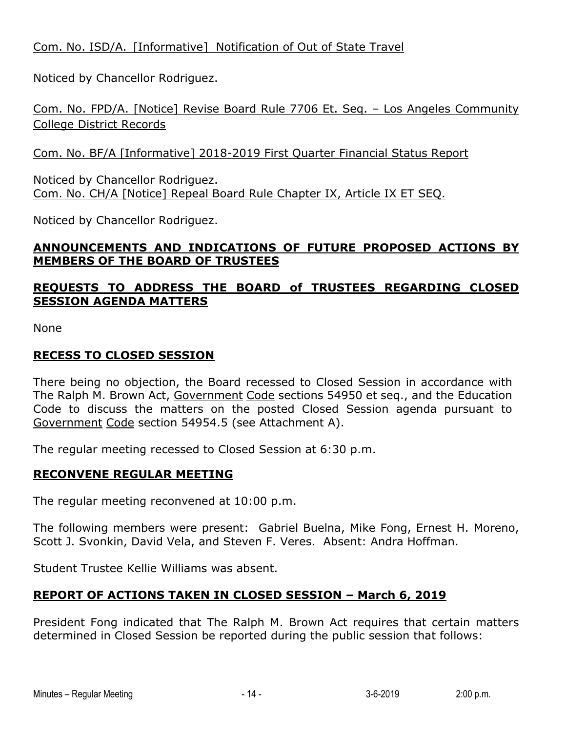# Com. No. ISD/A. [Informative] Notification of Out of State Travel

Noticed by Chancellor Rodriguez.

Com. No. FPD/A. [Notice] Revise Board Rule 7706 Et. Seq. – Los Angeles Community College District Records

Com. No. BF/A [Informative] 2018-2019 First Quarter Financial Status Report

Noticed by Chancellor Rodriguez. Com. No. CH/A [Notice] Repeal Board Rule Chapter IX, Article IX ET SEQ.

Noticed by Chancellor Rodriguez.

# **ANNOUNCEMENTS AND INDICATIONS OF FUTURE PROPOSED ACTIONS BY MEMBERS OF THE BOARD OF TRUSTEES**

# **REQUESTS TO ADDRESS THE BOARD of TRUSTEES REGARDING CLOSED SESSION AGENDA MATTERS**

None

# **RECESS TO CLOSED SESSION**

There being no objection, the Board recessed to Closed Session in accordance with The Ralph M. Brown Act, Government Code sections 54950 et seq., and the Education Code to discuss the matters on the posted Closed Session agenda pursuant to Government Code section 54954.5 (see Attachment A).

The regular meeting recessed to Closed Session at 6:30 p.m.

# **RECONVENE REGULAR MEETING**

The regular meeting reconvened at 10:00 p.m.

The following members were present: Gabriel Buelna, Mike Fong, Ernest H. Moreno, Scott J. Svonkin, David Vela, and Steven F. Veres. Absent: Andra Hoffman.

Student Trustee Kellie Williams was absent.

# **REPORT OF ACTIONS TAKEN IN CLOSED SESSION – March 6, 2019**

President Fong indicated that The Ralph M. Brown Act requires that certain matters determined in Closed Session be reported during the public session that follows: